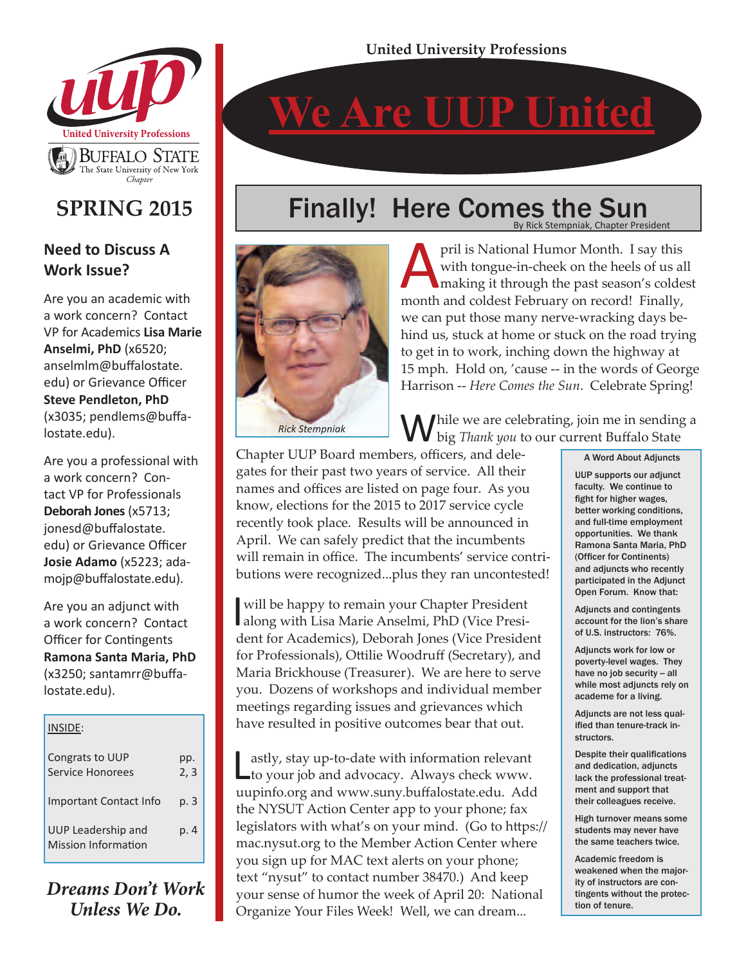**We Are UUP United**



### **SPRING 2015**

#### **Need to Discuss A Work Issue?**

Are you an academic with a work concern? Contact VP for Academics **Lisa Marie Anselmi, PhD** (x6520; anselmlm@buffalostate. edu) or Grievance Officer **Steve Pendleton, PhD** (x3035; pendlems@buffalostate.edu).

Are you a professional with a work concern? Contact VP for Professionals **Deborah Jones** (x5713; jonesd@buffalostate. edu) or Grievance Officer **Josie Adamo** (x5223; adamojp@buffalostate.edu).

Are you an adjunct with a work concern? Contact Officer for Contingents **Ramona Santa Maria, PhD** (x3250; santamrr@buffalostate.edu).

#### INSIDE: Congrats to UUP Service Honorees Important Contact Info UUP Leadership and Mission Information pp. 2, 3 p. 3 p. 4

*Dreams Don't Work Unless We Do.*

# Finally! Here Comes the Sun



pril is National Humor Month. I say this<br>with tongue-in-cheek on the heels of us al<br>making it through the past season's colde<br>month and coldest February on record! Finally. with tongue-in-cheek on the heels of us all making it through the past season's coldest month and coldest February on record! Finally, we can put those many nerve-wracking days behind us, stuck at home or stuck on the road trying to get in to work, inching down the highway at 15 mph. Hold on, 'cause -- in the words of George Harrison -- *Here Comes the Sun*. Celebrate Spring!

By Rick Stempniak, Chapter President

Mhile we are celebrating, join me in sending a big *Thank you* to our current Buffalo State

Chapter UUP Board members, officers, and delegates for their past two years of service. All their names and offices are listed on page four. As you know, elections for the 2015 to 2017 service cycle recently took place. Results will be announced in April. We can safely predict that the incumbents will remain in office. The incumbents' service contributions were recognized...plus they ran uncontested!

will be happy to remain your Chapter President<br>along with Lisa Marie Anselmi, PhD (Vice Presiwill be happy to remain your Chapter President dent for Academics), Deborah Jones (Vice President for Professionals), Ottilie Woodruff (Secretary), and Maria Brickhouse (Treasurer). We are here to serve you. Dozens of workshops and individual member meetings regarding issues and grievances which have resulted in positive outcomes bear that out.

Lastly, stay up-to-date with information relevant to your job and advocacy. Always check www. uupinfo.org and www.suny.buffalostate.edu. Add the NYSUT Action Center app to your phone; fax legislators with what's on your mind. (Go to https:// mac.nysut.org to the Member Action Center where you sign up for MAC text alerts on your phone; text "nysut" to contact number 38470.) And keep your sense of humor the week of April 20: National Organize Your Files Week! Well, we can dream...

#### A Word About Adjuncts

UUP supports our adjunct faculty. We continue to fight for higher wages, better working conditions, and full-time employment opportunities. We thank Ramona Santa Maria, PhD (Officer for Continents) and adjuncts who recently participated in the Adjunct Open Forum. Know that:

Adjuncts and contingents account for the lion's share of U.S. instructors: 76%.

Adjuncts work for low or poverty-level wages. They have no job security -- all while most adjuncts rely on academe for a living.

Adjuncts are not less qualified than tenure-track instructors.

Despite their qualifications and dedication, adjuncts lack the professional treatment and support that their colleagues receive.

High turnover means some students may never have the same teachers twice.

Academic freedom is weakened when the majority of instructors are contingents without the protection of tenure.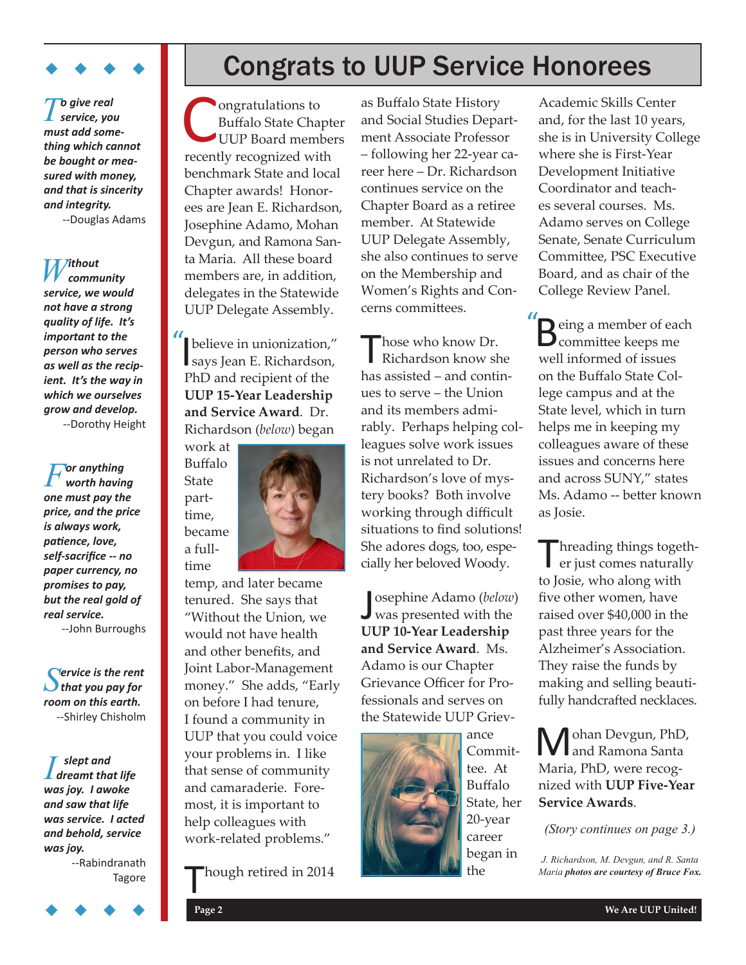

*To give real service, you must add something which cannot be bought or measured with money, and that is sincerity and integrity.* --Douglas Adams

 $W$ <sup>*ithout*</sup> *service, we would not have a strong quality of life. It's important to the person who serves as well as the recipient. It's the way in which we ourselves grow and develop.* --Dorothy Height

*For anything worth having one must pay the price, and the price is always work, patience, love, self-sacrifice -- no paper currency, no promises to pay, but the real gold of real service.* --John Burroughs

*Service is the rent that you pay for room on this earth.* --Shirley Chisholm

*I s slept and dreamt that life was joy. I awoke and saw that life was service. I acted and behold, service was joy.*

--Rabindranath Tagore

## Congrats to UUP Service Honorees

Buffalo State Chapter UUP Board members recently recognized with benchmark State and local Chapter awards! Honorees are Jean E. Richardson, Josephine Adamo, Mohan Devgun, and Ramona Santa Maria. All these board members are, in addition, delegates in the Statewide UUP Delegate Assembly.

*I* believe in unionization,"<br>says Jean E. Richardson, says Jean E. Richardson, PhD and recipient of the **UUP 15-Year Leadership and Service Award**. Dr. Richardson (*below*) began



 $\begin{tabular}{l|c|c|c} \hline \textbf{To give real}\\ \hline \textbf{not } \textbf{not } \textbf{not } \textbf{not } \textbf{not } \textbf{not } \textbf{not } \textbf{not } \textbf{not } \textbf{not } \textbf{not } \textbf{not } \textbf{not } \textbf{not } \textbf{not } \textbf{not } \textbf{not } \textbf{not } \textbf{not } \textbf{not } \textbf{not } \textbf{not } \textbf{not } \textbf{not } \textbf{not } \textbf{not } \textbf{not } \textbf{not } \textbf{not } \textbf{not } \textbf{not } \textbf{not }$ temp, and later became tenured. She says that "Without the Union, we would not have health and other benefits, and Joint Labor-Management money." She adds, "Early on before I had tenure, I found a community in UUP that you could voice your problems in. I like that sense of community and camaraderie. Foremost, it is important to help colleagues with work-related problems."

hough retired in 2014

as Buffalo State History and Social Studies Department Associate Professor – following her 22-year career here – Dr. Richardson continues service on the Chapter Board as a retiree member. At Statewide UUP Delegate Assembly, she also continues to serve on the Membership and Women's Rights and Concerns committees.

Those who know Dr. Richardson know she has assisted – and continues to serve – the Union and its members admirably. Perhaps helping colleagues solve work issues is not unrelated to Dr. Richardson's love of mystery books? Both involve working through difficult situations to find solutions! She adores dogs, too, especially her beloved Woody.

Josephine Adamo (below)<br>was presented with the osephine Adamo (*below*) **UUP 10-Year Leadership and Service Award**. Ms. Adamo is our Chapter Grievance Officer for Professionals and serves on the Statewide UUP Griev-



ance Committee. At Buffalo State, her 20-year career began in the

Academic Skills Center and, for the last 10 years, she is in University College where she is First-Year Development Initiative Coordinator and teaches several courses. Ms. Adamo serves on College Senate, Senate Curriculum Committee, PSC Executive Board, and as chair of the College Review Panel.

**B**eing a member of each committee keeps me  $\sum_{\text{committee}}$  keeps me well informed of issues on the Buffalo State College campus and at the State level, which in turn helps me in keeping my colleagues aware of these issues and concerns here and across SUNY," states Ms. Adamo -- better known as Josie.

Threading things togeth-<br>
er just comes naturally to Josie, who along with five other women, have raised over \$40,000 in the past three years for the Alzheimer's Association. They raise the funds by making and selling beautifully handcrafted necklaces.

Mohan Devgun, PhD,<br>
M and Ramona Santa Maria, PhD, were recognized with **UUP Five-Year Service Awards**.

*(Story continues on page 3.)*

*J. Richardson, M. Devgun, and R. Santa Maria photos are courtesy of Bruce Fox.*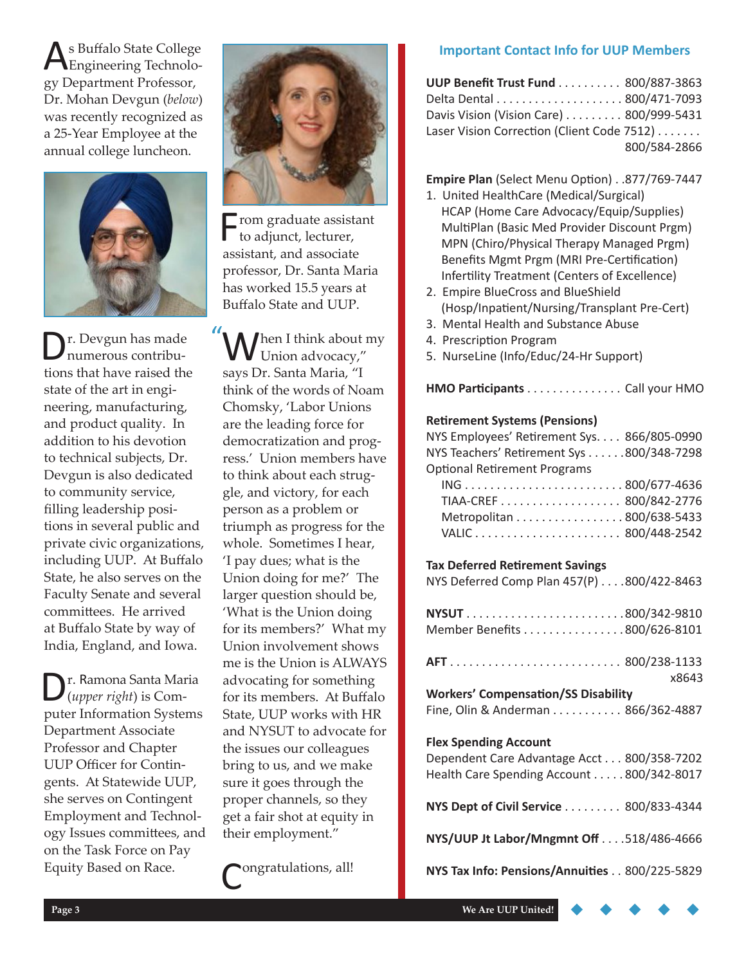s Buffalo State College Engineering Technology Department Professor, Dr. Mohan Devgun (*below*) was recently recognized as a 25-Year Employee at the annual college luncheon.



Dr. Devgun has made numerous contributions that have raised the state of the art in engineering, manufacturing, and product quality. In addition to his devotion to technical subjects, Dr. Devgun is also dedicated to community service, filling leadership positions in several public and private civic organizations, including UUP. At Buffalo State, he also serves on the Faculty Senate and several committees. He arrived at Buffalo State by way of India, England, and Iowa.

Dr. Ramona Santa Maria (*upper right*) is Computer Information Systems Department Associate Professor and Chapter UUP Officer for Contingents. At Statewide UUP, she serves on Contingent Employment and Technology Issues committees, and on the Task Force on Pay Equity Based on Race.



 $\blacksquare$ rom graduate assistant to adjunct, lecturer, assistant, and associate professor, Dr. Santa Maria has worked 15.5 years at Buffalo State and UUP.

When I think about my<br>Union advocacy," says Dr. Santa Maria, "I think of the words of Noam Chomsky, 'Labor Unions are the leading force for democratization and progress.' Union members have to think about each struggle, and victory, for each person as a problem or triumph as progress for the whole. Sometimes I hear, 'I pay dues; what is the Union doing for me?' The larger question should be, 'What is the Union doing for its members?' What my Union involvement shows me is the Union is ALWAYS advocating for something for its members. At Buffalo State, UUP works with HR and NYSUT to advocate for the issues our colleagues bring to us, and we make sure it goes through the proper channels, so they get a fair shot at equity in their employment."  $\mathbf{u}$ 

Congratulations, all!

#### **Important Contact Info for UUP Members**

| <b>UUP Benefit Trust Fund 800/887-3863</b> |              |
|--------------------------------------------|--------------|
|                                            |              |
| Davis Vision (Vision Care) 800/999-5431    |              |
| Laser Vision Correction (Client Code 7512) |              |
|                                            | 800/584-2866 |

#### **Empire Plan** (Select Menu Option) . . 877/769-7447

- 1. United HealthCare (Medical/Surgical) HCAP (Home Care Advocacy/Equip/Supplies) MultiPlan (Basic Med Provider Discount Prgm) MPN (Chiro/Physical Therapy Managed Prgm) Benefits Mgmt Prgm (MRI Pre-Certification) Infertility Treatment (Centers of Excellence)
- 2. Empire BlueCross and BlueShield (Hosp/Inpatient/Nursing/Transplant Pre-Cert)
- 3. Mental Health and Substance Abuse
- 4. Prescription Program
- 5. NurseLine (Info/Educ/24-Hr Support)

#### **HMO Participants** . . . . . . . . . . . . . . . Call your HMO

#### **Retirement Systems (Pensions)**

| NYS Employees' Retirement Sys. 866/805-0990 |  |
|---------------------------------------------|--|
| NYS Teachers' Retirement Sys 800/348-7298   |  |
| <b>Optional Retirement Programs</b>         |  |
| ING800/677-4636                             |  |
| TIAA-CREF 800/842-2776                      |  |
| Metropolitan 800/638-5433                   |  |
|                                             |  |

#### **Tax Deferred Retirement Savings**

| NYS Deferred Comp Plan 457(P) 800/422-8463        |  |
|---------------------------------------------------|--|
| NYSUT800/342-9810<br>Member Benefits 800/626-8101 |  |
| AFT800/238-1133<br>x8643                          |  |
| <b>Workers' Compensation/SS Disability</b>        |  |
| Fine, Olin & Anderman 866/362-4887                |  |
| <b>Flex Spending Account</b>                      |  |
|                                                   |  |
| Dependent Care Advantage Acct 800/358-7202        |  |
| Health Care Spending Account 800/342-8017         |  |
| NYS Dept of Civil Service 800/833-4344            |  |
| NYS/UUP Jt Labor/Mngmnt Off 518/486-4666          |  |
| NYS Tax Info: Pensions/Annuities 800/225-5829     |  |
|                                                   |  |